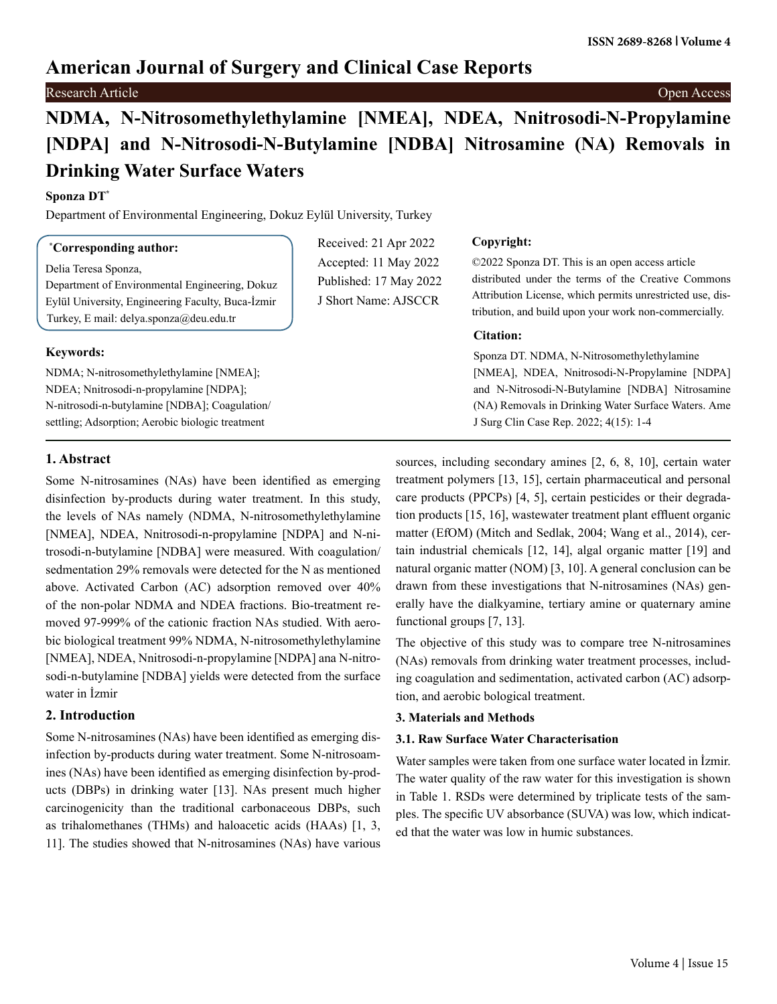# **American Journal of Surgery and Clinical Case Reports**

**Research Article** Open Access **Contract Contract Contract Contract Contract Contract Contract Contract Contract Contract Contract Contract Contract Contract Contract Contract Contract Contract Contract Contract Contract C** 

# **NDMA, N-Nitrosomethylethylamine [NMEA], NDEA, Nnitrosodi-N-Propylamine [NDPA] and N-Nitrosodi-N-Butylamine [NDBA] Nitrosamine (NA) Removals in Drinking Water Surface Waters**

Received: 21 Apr 2022 Accepted: 11 May 2022 Published: 17 May 2022 J Short Name: AJSCCR

## **Sponza DT\***

Department of Environmental Engineering, Dokuz Eylül University, Turkey

## **\* Corresponding author:**

Delia Teresa Sponza,

Department of Environmental Engineering, Dokuz Eylül University, Engineering Faculty, Buca-İzmir Turkey, E mail: delya.sponza@deu.edu.tr

## **Keywords:**

NDMA; N-nitrosomethylethylamine [NMEA]; NDEA; Nnitrosodi-n-propylamine [NDPA]; N-nitrosodi-n-butylamine [NDBA]; Coagulation/ settling; Adsorption; Aerobic biologic treatment

## **Copyright:**

©2022 Sponza DT. This is an open access article distributed under the terms of the Creative Commons Attribution License, which permits unrestricted use, distribution, and build upon your work non-commercially.

## **Citation:**

Sponza DT. NDMA, N-Nitrosomethylethylamine [NMEA], NDEA, Nnitrosodi-N-Propylamine [NDPA] and N-Nitrosodi-N-Butylamine [NDBA] Nitrosamine (NA) Removals in Drinking Water Surface Waters. Ame J Surg Clin Case Rep. 2022; 4(15): 1-4

## **1. Abstract**

Some N-nitrosamines (NAs) have been identified as emerging disinfection by-products during water treatment. In this study, the levels of NAs namely (NDMA, N-nitrosomethylethylamine [NMEA], NDEA, Nnitrosodi-n-propylamine [NDPA] and N-nitrosodi-n-butylamine [NDBA] were measured. With coagulation/ sedmentation 29% removals were detected for the N as mentioned above. Activated Carbon (AC) adsorption removed over 40% of the non-polar NDMA and NDEA fractions. Bio-treatment removed 97-999% of the cationic fraction NAs studied. With aerobic biological treatment 99% NDMA, N-nitrosomethylethylamine [NMEA], NDEA, Nnitrosodi-n-propylamine [NDPA] ana N-nitrosodi-n-butylamine [NDBA] yields were detected from the surface water in İzmir

## **2. Introduction**

Some N-nitrosamines (NAs) have been identified as emerging disinfection by-products during water treatment. Some N-nitrosoamines (NAs) have been identified as emerging disinfection by-products (DBPs) in drinking water [13]. NAs present much higher carcinogenicity than the traditional carbonaceous DBPs, such as trihalomethanes (THMs) and haloacetic acids (HAAs) [1, 3, 11]. The studies showed that N-nitrosamines (NAs) have various

sources, including secondary amines [2, 6, 8, 10], certain water treatment polymers [13, 15], certain pharmaceutical and personal care products (PPCPs) [4, 5], certain pesticides or their degradation products [15, 16], wastewater treatment plant effluent organic matter (EfOM) (Mitch and Sedlak, 2004; Wang et al., 2014), certain industrial chemicals [12, 14], algal organic matter [19] and natural organic matter (NOM) [3, 10]. A general conclusion can be drawn from these investigations that N-nitrosamines (NAs) generally have the dialkyamine, tertiary amine or quaternary amine functional groups [7, 13].

The objective of this study was to compare tree N-nitrosamines (NAs) removals from drinking water treatment processes, including coagulation and sedimentation, activated carbon (AC) adsorption, and aerobic bological treatment.

## **3. Materials and Methods**

## **3.1. Raw Surface Water Characterisation**

Water samples were taken from one surface water located in İzmir. The water quality of the raw water for this investigation is shown in Table 1. RSDs were determined by triplicate tests of the samples. The specific UV absorbance (SUVA) was low, which indicated that the water was low in humic substances.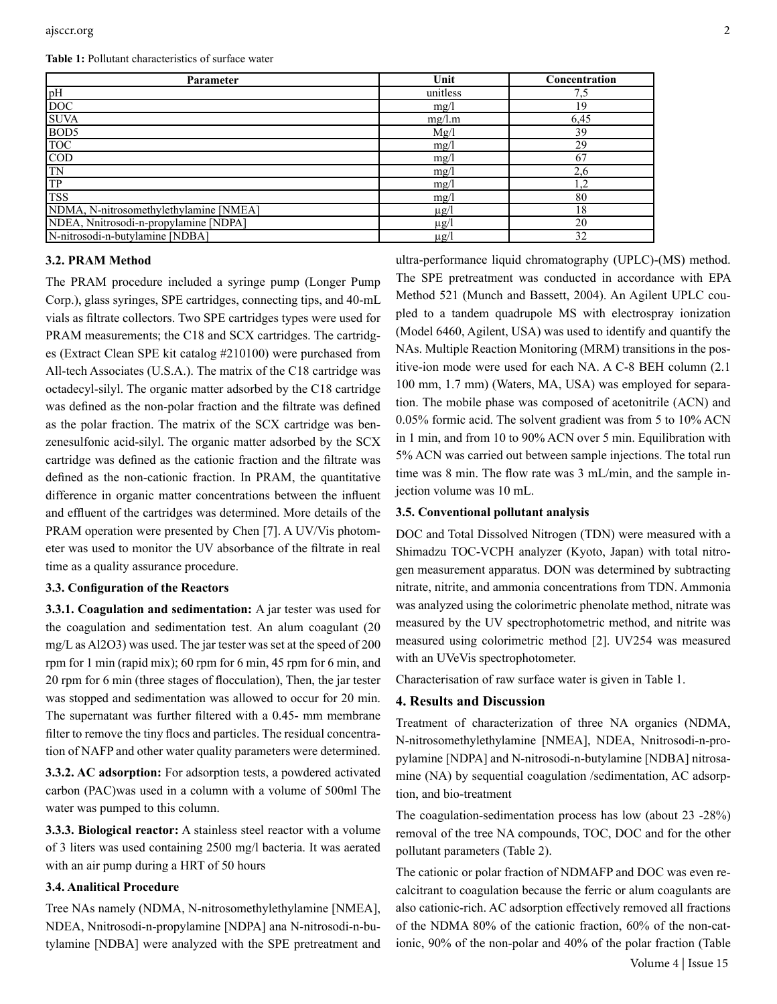**Table 1:** Pollutant characteristics of surface water

| Parameter                              | Unit      | Concentration |
|----------------------------------------|-----------|---------------|
| pH                                     | unitless  | 7,5           |
| <b>DOC</b>                             | mg/l      | 19            |
| <b>SUVA</b>                            | mg/l.m    | 6.45          |
| BOD <sub>5</sub>                       | Mg/l      | 39            |
| <b>TOC</b>                             | mg/l      | 29            |
| $\overline{COD}$                       | mg/       | 67            |
| TN                                     | mg/l      | 2,6           |
| <b>TP</b>                              | mg/l      | 1,2           |
| <b>TSS</b>                             | mg/l      | 80            |
| NDMA, N-nitrosomethylethylamine [NMEA] | $\mu$ g/l | 18            |
| NDEA, Nnitrosodi-n-propylamine [NDPA]  | $\mu$ g/l | 20            |
| N-nitrosodi-n-butylamine [NDBA]        | $\mu$ g/l | 32            |

#### **3.2. PRAM Method**

The PRAM procedure included a syringe pump (Longer Pump Corp.), glass syringes, SPE cartridges, connecting tips, and 40-mL vials as filtrate collectors. Two SPE cartridges types were used for PRAM measurements; the C18 and SCX cartridges. The cartridges (Extract Clean SPE kit catalog #210100) were purchased from All-tech Associates (U.S.A.). The matrix of the C18 cartridge was octadecyl-silyl. The organic matter adsorbed by the C18 cartridge was defined as the non-polar fraction and the filtrate was defined as the polar fraction. The matrix of the SCX cartridge was benzenesulfonic acid-silyl. The organic matter adsorbed by the SCX cartridge was defined as the cationic fraction and the filtrate was defined as the non-cationic fraction. In PRAM, the quantitative difference in organic matter concentrations between the influent and effluent of the cartridges was determined. More details of the PRAM operation were presented by Chen [7]. A UV/Vis photometer was used to monitor the UV absorbance of the filtrate in real time as a quality assurance procedure.

#### **3.3. Configuration of the Reactors**

**3.3.1. Coagulation and sedimentation:** A jar tester was used for the coagulation and sedimentation test. An alum coagulant (20 mg/L as Al2O3) was used. The jar tester was set at the speed of 200 rpm for 1 min (rapid mix); 60 rpm for 6 min, 45 rpm for 6 min, and 20 rpm for 6 min (three stages of flocculation), Then, the jar tester was stopped and sedimentation was allowed to occur for 20 min. The supernatant was further filtered with a 0.45- mm membrane filter to remove the tiny flocs and particles. The residual concentration of NAFP and other water quality parameters were determined.

**3.3.2. AC adsorption:** For adsorption tests, a powdered activated carbon (PAC)was used in a column with a volume of 500ml The water was pumped to this column.

**3.3.3. Biological reactor:** A stainless steel reactor with a volume of 3 liters was used containing 2500 mg/l bacteria. It was aerated with an air pump during a HRT of 50 hours

#### **3.4. Analitical Procedure**

Tree NAs namely (NDMA, N-nitrosomethylethylamine [NMEA], NDEA, Nnitrosodi-n-propylamine [NDPA] ana N-nitrosodi-n-butylamine [NDBA] were analyzed with the SPE pretreatment and

ultra-performance liquid chromatography (UPLC)-(MS) method. The SPE pretreatment was conducted in accordance with EPA Method 521 (Munch and Bassett, 2004). An Agilent UPLC coupled to a tandem quadrupole MS with electrospray ionization (Model 6460, Agilent, USA) was used to identify and quantify the NAs. Multiple Reaction Monitoring (MRM) transitions in the positive-ion mode were used for each NA. A C-8 BEH column (2.1 100 mm, 1.7 mm) (Waters, MA, USA) was employed for separation. The mobile phase was composed of acetonitrile (ACN) and 0.05% formic acid. The solvent gradient was from 5 to 10% ACN in 1 min, and from 10 to 90% ACN over 5 min. Equilibration with 5% ACN was carried out between sample injections. The total run time was 8 min. The flow rate was 3 mL/min, and the sample injection volume was 10 mL.

#### **3.5. Conventional pollutant analysis**

DOC and Total Dissolved Nitrogen (TDN) were measured with a Shimadzu TOC-VCPH analyzer (Kyoto, Japan) with total nitrogen measurement apparatus. DON was determined by subtracting nitrate, nitrite, and ammonia concentrations from TDN. Ammonia was analyzed using the colorimetric phenolate method, nitrate was measured by the UV spectrophotometric method, and nitrite was measured using colorimetric method [2]. UV254 was measured with an UVeVis spectrophotometer.

Characterisation of raw surface water is given in Table 1.

### **4. Results and Discussion**

Treatment of characterization of three NA organics (NDMA, N-nitrosomethylethylamine [NMEA], NDEA, Nnitrosodi-n-propylamine [NDPA] and N-nitrosodi-n-butylamine [NDBA] nitrosamine (NA) by sequential coagulation /sedimentation, AC adsorption, and bio-treatment

The coagulation-sedimentation process has low (about 23 -28%) removal of the tree NA compounds, TOC, DOC and for the other pollutant parameters (Table 2).

The cationic or polar fraction of NDMAFP and DOC was even recalcitrant to coagulation because the ferric or alum coagulants are also cationic-rich. AC adsorption effectively removed all fractions of the NDMA 80% of the cationic fraction, 60% of the non-cationic, 90% of the non-polar and 40% of the polar fraction (Table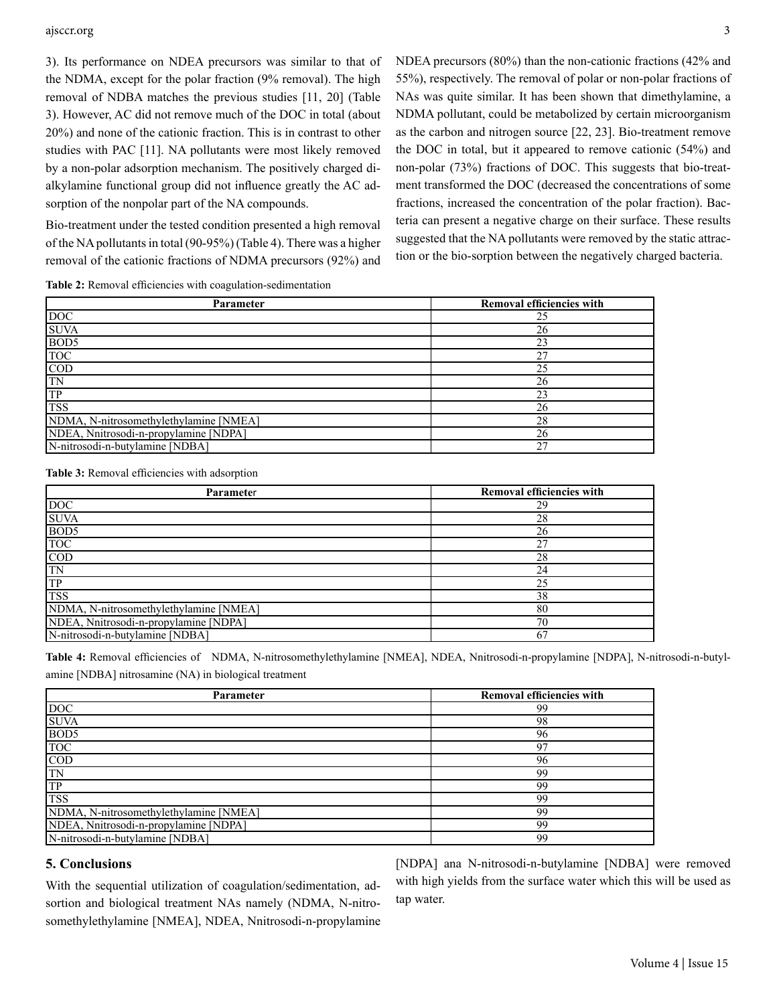#### ajsccr.org 3

3). Its performance on NDEA precursors was similar to that of the NDMA, except for the polar fraction (9% removal). The high removal of NDBA matches the previous studies [11, 20] (Table 3). However, AC did not remove much of the DOC in total (about 20%) and none of the cationic fraction. This is in contrast to other studies with PAC [11]. NA pollutants were most likely removed by a non-polar adsorption mechanism. The positively charged dialkylamine functional group did not influence greatly the AC adsorption of the nonpolar part of the NA compounds.

Bio-treatment under the tested condition presented a high removal of the NA pollutants in total (90-95%) (Table 4). There was a higher removal of the cationic fractions of NDMA precursors (92%) and NDEA precursors (80%) than the non-cationic fractions (42% and 55%), respectively. The removal of polar or non-polar fractions of NAs was quite similar. It has been shown that dimethylamine, a NDMA pollutant, could be metabolized by certain microorganism as the carbon and nitrogen source [22, 23]. Bio-treatment remove the DOC in total, but it appeared to remove cationic (54%) and non-polar (73%) fractions of DOC. This suggests that bio-treatment transformed the DOC (decreased the concentrations of some fractions, increased the concentration of the polar fraction). Bacteria can present a negative charge on their surface. These results suggested that the NA pollutants were removed by the static attraction or the bio-sorption between the negatively charged bacteria.

**Table 2:** Removal efficiencies with coagulation-sedimentation

| <b>Parameter</b>                       | <b>Removal efficiencies with</b> |
|----------------------------------------|----------------------------------|
| <b>DOC</b>                             | 25                               |
| <b>SUVA</b>                            | 26                               |
| BOD <sub>5</sub>                       | 23                               |
| <b>TOC</b>                             | 27                               |
| $\overline{COD}$                       | 25                               |
| TN                                     | 26                               |
| TP                                     | 23                               |
| <b>TSS</b>                             | 26                               |
| NDMA, N-nitrosomethylethylamine [NMEA] | 28                               |
| NDEA, Nnitrosodi-n-propylamine [NDPA]  | 26                               |
| N-nitrosodi-n-butylamine [NDBA]        | 27                               |

**Table 3:** Removal efficiencies with adsorption

| Parameter                              | Removal efficiencies with |
|----------------------------------------|---------------------------|
| <b>DOC</b>                             | 29                        |
| <b>SUVA</b>                            | 28                        |
| BOD <sub>5</sub>                       | 26                        |
| <b>TOC</b>                             | 27                        |
| $\overline{COD}$                       | 28                        |
| <b>TN</b>                              | 24                        |
| <b>TP</b>                              | 25                        |
| <b>TSS</b>                             | 38                        |
| NDMA, N-nitrosomethylethylamine [NMEA] | 80                        |
| NDEA, Nnitrosodi-n-propylamine [NDPA]  | 70                        |
| N-nitrosodi-n-butylamine [NDBA]        | 67                        |

**Table 4:** Removal efficiencies of NDMA, N-nitrosomethylethylamine [NMEA], NDEA, Nnitrosodi-n-propylamine [NDPA], N-nitrosodi-n-butylamine [NDBA] nitrosamine (NA) in biological treatment

| Parameter                              | Removal efficiencies with |  |
|----------------------------------------|---------------------------|--|
| <b>DOC</b>                             | 99                        |  |
| <b>SUVA</b>                            | 98                        |  |
| BOD <sub>5</sub>                       | 96                        |  |
| <b>TOC</b>                             | Q <sub>7</sub>            |  |
| $\overline{COD}$                       | 96                        |  |
| <b>TN</b>                              | 99                        |  |
| TP                                     | 99                        |  |
| <b>TSS</b>                             | 99                        |  |
| NDMA, N-nitrosomethylethylamine [NMEA] | 99                        |  |
| NDEA, Nnitrosodi-n-propylamine [NDPA]  | 99                        |  |
| N-nitrosodi-n-butylamine [NDBA]        | 99                        |  |

#### **5. Conclusions**

With the sequential utilization of coagulation/sedimentation, adsortion and biological treatment NAs namely (NDMA, N-nitrosomethylethylamine [NMEA], NDEA, Nnitrosodi-n-propylamine [NDPA] ana N-nitrosodi-n-butylamine [NDBA] were removed with high yields from the surface water which this will be used as tap water.